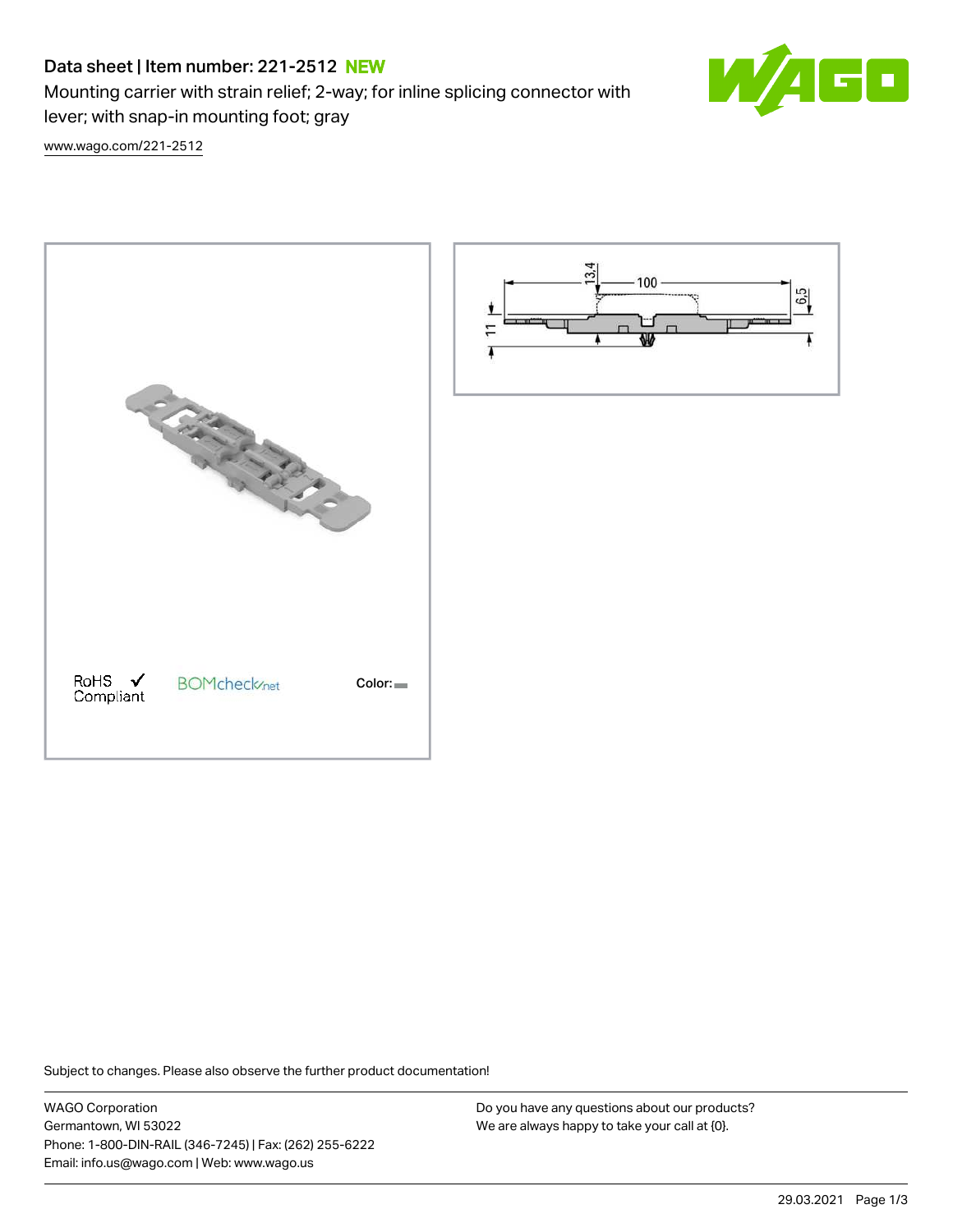# Data sheet | Item number: 221-2512 NEW

Mounting carrier with strain relief; 2-way; for inline splicing connector with lever; with snap-in mounting foot; gray



[www.wago.com/221-2512](http://www.wago.com/221-2512)





Subject to changes. Please also observe the further product documentation!

WAGO Corporation Germantown, WI 53022 Phone: 1-800-DIN-RAIL (346-7245) | Fax: (262) 255-6222 Email: info.us@wago.com | Web: www.wago.us

Do you have any questions about our products? We are always happy to take your call at {0}.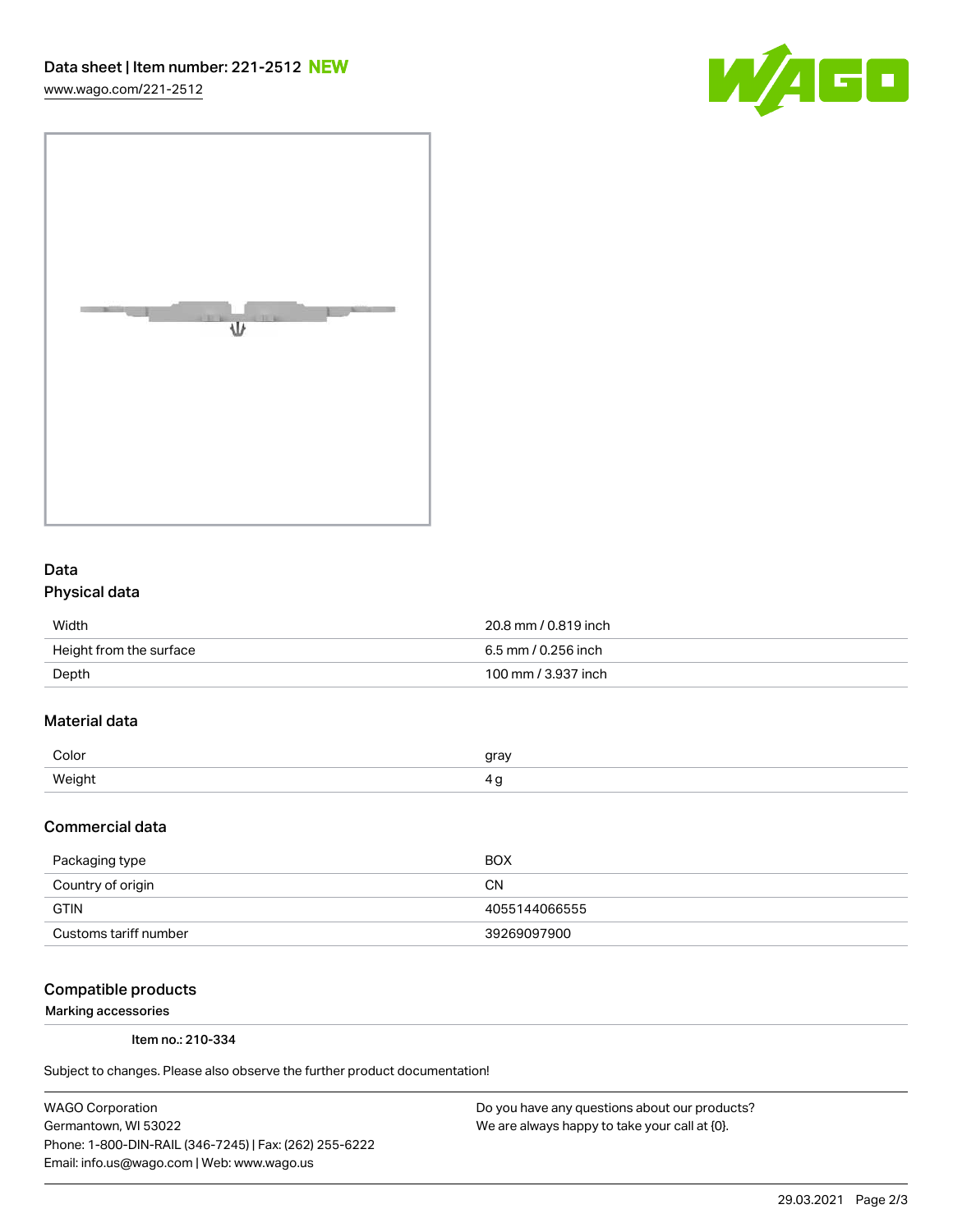[www.wago.com/221-2512](http://www.wago.com/221-2512)





### Data Physical data

| Width                   | 20.8 mm / 0.819 inch |
|-------------------------|----------------------|
| Height from the surface | 6.5 mm / 0.256 inch  |
| Depth                   | 100 mm / 3.937 inch  |

# Material data

| Color     | rr01 |
|-----------|------|
| Weiał<br> |      |

#### Commercial data

| Packaging type        | <b>BOX</b>    |
|-----------------------|---------------|
| Country of origin     | CΝ            |
| <b>GTIN</b>           | 4055144066555 |
| Customs tariff number | 39269097900   |

#### Compatible products

Marking accessories

Item no.: 210-334

Subject to changes. Please also observe the further product documentation!

WAGO Corporation Germantown, WI 53022 Phone: 1-800-DIN-RAIL (346-7245) | Fax: (262) 255-6222 Email: info.us@wago.com | Web: www.wago.us

Do you have any questions about our products? We are always happy to take your call at {0}.